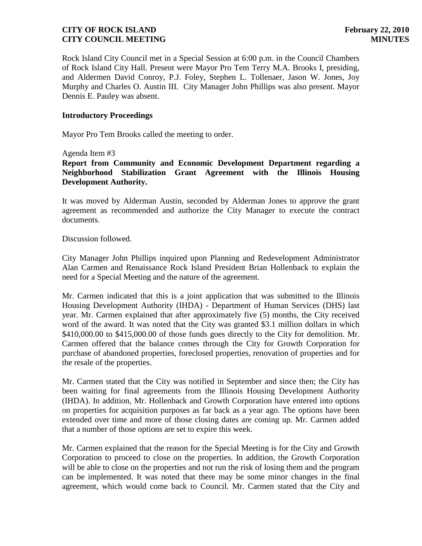# **CITY OF ROCK ISLAND February 22, 2010 CITY COUNCIL MEETING MINUTES**

Rock Island City Council met in a Special Session at 6:00 p.m. in the Council Chambers of Rock Island City Hall. Present were Mayor Pro Tem Terry M.A. Brooks I, presiding, and Aldermen David Conroy, P.J. Foley, Stephen L. Tollenaer, Jason W. Jones, Joy Murphy and Charles O. Austin III. City Manager John Phillips was also present. Mayor Dennis E. Pauley was absent.

#### **Introductory Proceedings**

Mayor Pro Tem Brooks called the meeting to order.

Agenda Item #3

**Report from Community and Economic Development Department regarding a Neighborhood Stabilization Grant Agreement with the Illinois Housing Development Authority.**

It was moved by Alderman Austin, seconded by Alderman Jones to approve the grant agreement as recommended and authorize the City Manager to execute the contract documents.

Discussion followed.

City Manager John Phillips inquired upon Planning and Redevelopment Administrator Alan Carmen and Renaissance Rock Island President Brian Hollenback to explain the need for a Special Meeting and the nature of the agreement.

Mr. Carmen indicated that this is a joint application that was submitted to the Illinois Housing Development Authority (IHDA) - Department of Human Services (DHS) last year. Mr. Carmen explained that after approximately five (5) months, the City received word of the award. It was noted that the City was granted \$3.1 million dollars in which \$410,000.00 to \$415,000.00 of those funds goes directly to the City for demolition. Mr. Carmen offered that the balance comes through the City for Growth Corporation for purchase of abandoned properties, foreclosed properties, renovation of properties and for the resale of the properties.

Mr. Carmen stated that the City was notified in September and since then; the City has been waiting for final agreements from the Illinois Housing Development Authority (IHDA). In addition, Mr. Hollenback and Growth Corporation have entered into options on properties for acquisition purposes as far back as a year ago. The options have been extended over time and more of those closing dates are coming up. Mr. Carmen added that a number of those options are set to expire this week.

Mr. Carmen explained that the reason for the Special Meeting is for the City and Growth Corporation to proceed to close on the properties. In addition, the Growth Corporation will be able to close on the properties and not run the risk of losing them and the program can be implemented. It was noted that there may be some minor changes in the final agreement, which would come back to Council. Mr. Carmen stated that the City and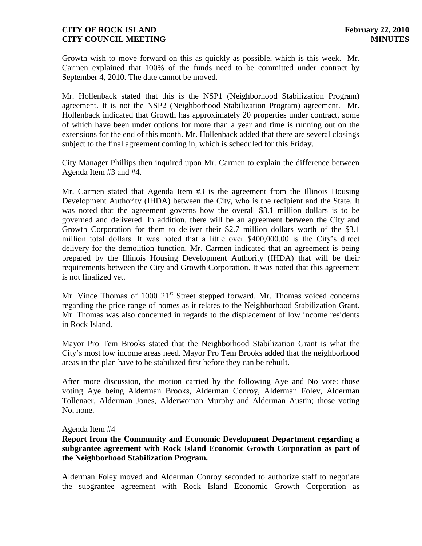## **CITY OF ROCK ISLAND February 22, 2010 CITY COUNCIL MEETING MINUTES**

Growth wish to move forward on this as quickly as possible, which is this week. Mr. Carmen explained that 100% of the funds need to be committed under contract by September 4, 2010. The date cannot be moved.

Mr. Hollenback stated that this is the NSP1 (Neighborhood Stabilization Program) agreement. It is not the NSP2 (Neighborhood Stabilization Program) agreement. Mr. Hollenback indicated that Growth has approximately 20 properties under contract, some of which have been under options for more than a year and time is running out on the extensions for the end of this month. Mr. Hollenback added that there are several closings subject to the final agreement coming in, which is scheduled for this Friday.

City Manager Phillips then inquired upon Mr. Carmen to explain the difference between Agenda Item #3 and #4.

Mr. Carmen stated that Agenda Item #3 is the agreement from the Illinois Housing Development Authority (IHDA) between the City, who is the recipient and the State. It was noted that the agreement governs how the overall \$3.1 million dollars is to be governed and delivered. In addition, there will be an agreement between the City and Growth Corporation for them to deliver their \$2.7 million dollars worth of the \$3.1 million total dollars. It was noted that a little over \$400,000.00 is the City's direct delivery for the demolition function. Mr. Carmen indicated that an agreement is being prepared by the Illinois Housing Development Authority (IHDA) that will be their requirements between the City and Growth Corporation. It was noted that this agreement is not finalized yet.

Mr. Vince Thomas of 1000  $21<sup>st</sup>$  Street stepped forward. Mr. Thomas voiced concerns regarding the price range of homes as it relates to the Neighborhood Stabilization Grant. Mr. Thomas was also concerned in regards to the displacement of low income residents in Rock Island.

Mayor Pro Tem Brooks stated that the Neighborhood Stabilization Grant is what the City's most low income areas need. Mayor Pro Tem Brooks added that the neighborhood areas in the plan have to be stabilized first before they can be rebuilt.

After more discussion, the motion carried by the following Aye and No vote: those voting Aye being Alderman Brooks, Alderman Conroy, Alderman Foley, Alderman Tollenaer, Alderman Jones, Alderwoman Murphy and Alderman Austin; those voting No, none.

### Agenda Item #4

### **Report from the Community and Economic Development Department regarding a subgrantee agreement with Rock Island Economic Growth Corporation as part of the Neighborhood Stabilization Program.**

Alderman Foley moved and Alderman Conroy seconded to authorize staff to negotiate the subgrantee agreement with Rock Island Economic Growth Corporation as